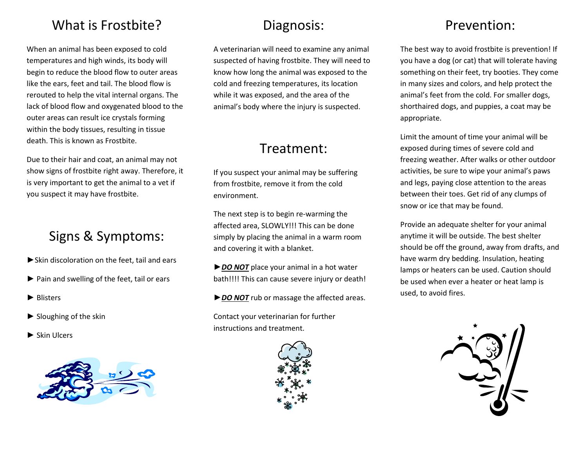#### What is Frostbite?

When an animal has been exposed to cold temperatures and high winds, its body will begin to reduce the blood flow to outer areas like the ears, feet and tail. The blood flow is rerouted to help the vital internal organs. The lack of blood flow and oxygenated blood to the outer areas can result ice crystals forming within the body tissues, resulting in tissue death. This is known as Frostbite.

Due to their hair and coat, an animal may not show signs of frostbite right away. Therefore, it is very important to get the animal to a vet if you suspect it may have frostbite.

## Signs & Symptoms:

- ►Skin discoloration on the feet, tail and ears
- ► Pain and swelling of the feet, tail or ears
- ► Blisters
- $\blacktriangleright$  Sloughing of the skin
- ► Skin Ulcers



## Diagnosis:

A veterinarian will need to examine any animal suspected of having frostbite. They will need to know how long the animal was exposed to the cold and freezing temperatures, its location while it was exposed, and the area of the animal's body where the injury is suspected.

## Treatment:

If you suspect your animal may be suffering from frostbite, remove it from the cold environment.

The next step is to begin re-warming the affected area, SLOWLY!!! This can be done simply by placing the animal in a warm room and covering it with a blanket.

►*DO NOT* place your animal in a hot water bath!!!! This can cause severe injury or death!

►*DO NOT* rub or massage the affected areas.

Contact your veterinarian for further instructions and treatment.



## Prevention:

The best way to avoid frostbite is prevention! If you have a dog (or cat) that will tolerate having something on their feet, try booties. They come in many sizes and colors, and help protect the animal's feet from the cold. For smaller dogs, shorthaired dogs, and puppies, a coat may be appropriate.

Limit the amount of time your animal will be exposed during times of severe cold and freezing weather. After walks or other outdoor activities, be sure to wipe your animal's paws and legs, paying close attention to the areas between their toes. Get rid of any clumps of snow or ice that may be found.

Provide an adequate shelter for your animal anytime it will be outside. The best shelter should be off the ground, away from drafts, and have warm dry bedding. Insulation, heating lamps or heaters can be used. Caution should be used when ever a heater or heat lamp is used, to avoid fires.